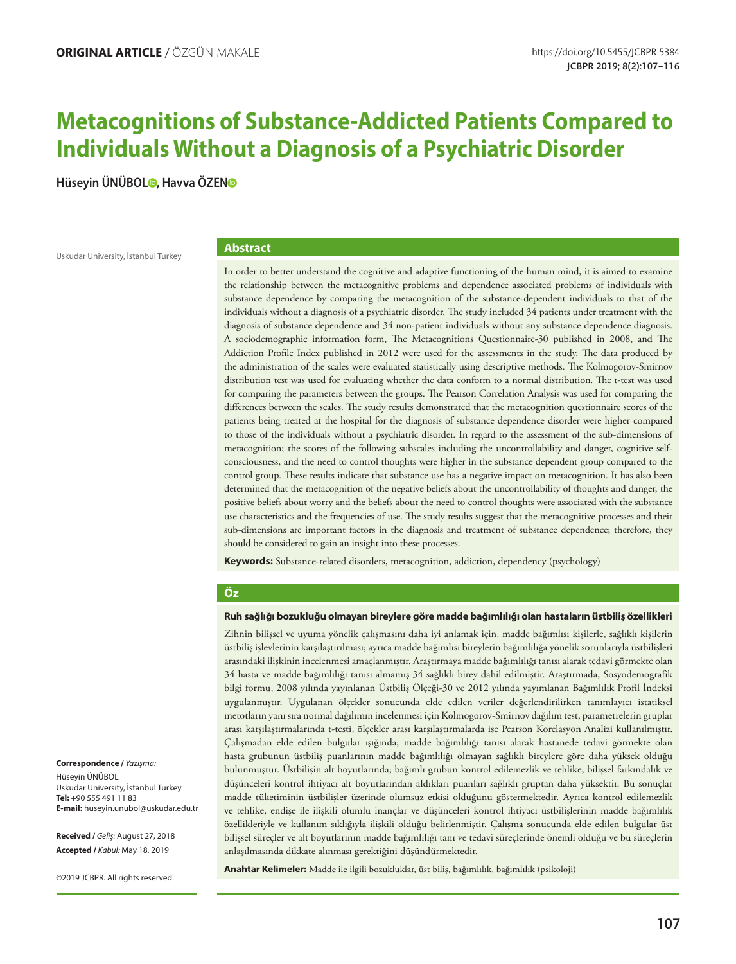# **Metacognitions of Substance-Addicted Patients Compared to Individuals Without a Diagnosis of a Psychiatric Disorder**

**Hüseyin ÜNÜBOL [,](https://orcid.org/0000-0003-4404-6062) Havva ÖZE[N](https://orcid.org/0000-0003-3307-6610)**

Uskudar University, İstanbul Turkey

#### **Abstract**

In order to better understand the cognitive and adaptive functioning of the human mind, it is aimed to examine the relationship between the metacognitive problems and dependence associated problems of individuals with substance dependence by comparing the metacognition of the substance-dependent individuals to that of the individuals without a diagnosis of a psychiatric disorder. The study included 34 patients under treatment with the diagnosis of substance dependence and 34 non-patient individuals without any substance dependence diagnosis. A sociodemographic information form, The Metacognitions Questionnaire-30 published in 2008, and The Addiction Profile Index published in 2012 were used for the assessments in the study. The data produced by the administration of the scales were evaluated statistically using descriptive methods. The Kolmogorov-Smirnov distribution test was used for evaluating whether the data conform to a normal distribution. The t-test was used for comparing the parameters between the groups. The Pearson Correlation Analysis was used for comparing the differences between the scales. The study results demonstrated that the metacognition questionnaire scores of the patients being treated at the hospital for the diagnosis of substance dependence disorder were higher compared to those of the individuals without a psychiatric disorder. In regard to the assessment of the sub-dimensions of metacognition; the scores of the following subscales including the uncontrollability and danger, cognitive selfconsciousness, and the need to control thoughts were higher in the substance dependent group compared to the control group. These results indicate that substance use has a negative impact on metacognition. It has also been determined that the metacognition of the negative beliefs about the uncontrollability of thoughts and danger, the positive beliefs about worry and the beliefs about the need to control thoughts were associated with the substance use characteristics and the frequencies of use. The study results suggest that the metacognitive processes and their sub-dimensions are important factors in the diagnosis and treatment of substance dependence; therefore, they should be considered to gain an insight into these processes.

**Keywords:** Substance-related disorders, metacognition, addiction, dependency (psychology)

#### **Öz**

#### **Ruh sağlığı bozukluğu olmayan bireylere göre madde bağımlılığı olan hastaların üstbiliş özellikleri**

Zihnin bilişsel ve uyuma yönelik çalışmasını daha iyi anlamak için, madde bağımlısı kişilerle, sağlıklı kişilerin üstbiliş işlevlerinin karşılaştırılması; ayrıca madde bağımlısı bireylerin bağımlılığa yönelik sorunlarıyla üstbilişleri arasındaki ilişkinin incelenmesi amaçlanmıştır. Araştırmaya madde bağımlılığı tanısı alarak tedavi görmekte olan 34 hasta ve madde bağımlılığı tanısı almamış 34 sağlıklı birey dahil edilmiştir. Araştırmada, Sosyodemografik bilgi formu, 2008 yılında yayınlanan Üstbiliş Ölçeği-30 ve 2012 yılında yayımlanan Bağımlılık Profil İndeksi uygulanmıştır. Uygulanan ölçekler sonucunda elde edilen veriler değerlendirilirken tanımlayıcı istatiksel metotların yanı sıra normal dağılımın incelenmesi için Kolmogorov-Smirnov dağılım test, parametrelerin gruplar arası karşılaştırmalarında t-testi, ölçekler arası karşılaştırmalarda ise Pearson Korelasyon Analizi kullanılmıştır. Çalışmadan elde edilen bulgular ışığında; madde bağımlılığı tanısı alarak hastanede tedavi görmekte olan hasta grubunun üstbiliş puanlarının madde bağımlılığı olmayan sağlıklı bireylere göre daha yüksek olduğu bulunmuştur. Üstbilişin alt boyutlarında; bağımlı grubun kontrol edilemezlik ve tehlike, bilişsel farkındalık ve düşünceleri kontrol ihtiyacı alt boyutlarından aldıkları puanları sağlıklı gruptan daha yüksektir. Bu sonuçlar madde tüketiminin üstbilişler üzerinde olumsuz etkisi olduğunu göstermektedir. Ayrıca kontrol edilemezlik ve tehlike, endişe ile ilişkili olumlu inançlar ve düşünceleri kontrol ihtiyacı üstbilişlerinin madde bağımlılık özellikleriyle ve kullanım sıklığıyla ilişkili olduğu belirlenmiştir. Çalışma sonucunda elde edilen bulgular üst bilişsel süreçler ve alt boyutlarının madde bağımlılığı tanı ve tedavi süreçlerinde önemli olduğu ve bu süreçlerin anlaşılmasında dikkate alınması gerektiğini düşündürmektedir.

**Anahtar Kelimeler:** Madde ile ilgili bozukluklar, üst biliş, bağımlılık, bağımlılık (psikoloji)

**Correspondence /** *Yazışma:* Hüseyin ÜNÜBOL Uskudar University, İstanbul Turkey **Tel:** +90 555 491 11 83 **E-mail:** huseyin.unubol@uskudar.edu.tr

**Received /** *Geliş:* August 27, 2018 **Accepted /** *Kabul:* May 18, 2019

©2019 JCBPR. All rights reserved.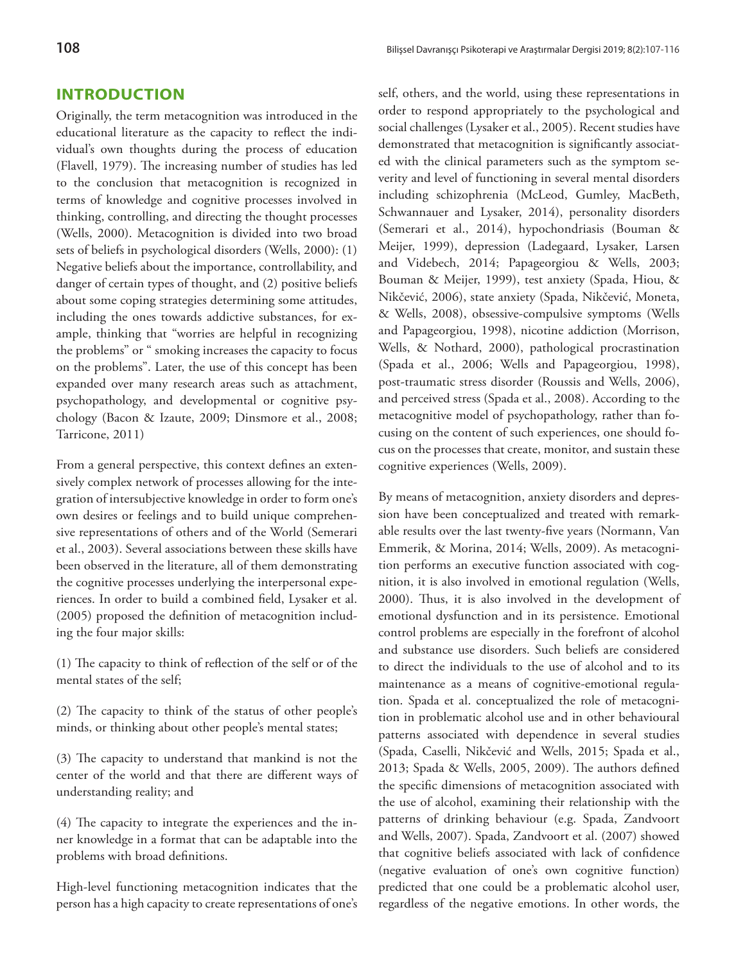# **INTRODUCTION**

Originally, the term metacognition was introduced in the educational literature as the capacity to reflect the individual's own thoughts during the process of education (Flavell, 1979). The increasing number of studies has led to the conclusion that metacognition is recognized in terms of knowledge and cognitive processes involved in thinking, controlling, and directing the thought processes (Wells, 2000). Metacognition is divided into two broad sets of beliefs in psychological disorders (Wells, 2000): (1) Negative beliefs about the importance, controllability, and danger of certain types of thought, and (2) positive beliefs about some coping strategies determining some attitudes, including the ones towards addictive substances, for example, thinking that "worries are helpful in recognizing the problems" or " smoking increases the capacity to focus on the problems". Later, the use of this concept has been expanded over many research areas such as attachment, psychopathology, and developmental or cognitive psychology (Bacon & Izaute, 2009; Dinsmore et al., 2008; Tarricone, 2011)

From a general perspective, this context defines an extensively complex network of processes allowing for the integration of intersubjective knowledge in order to form one's own desires or feelings and to build unique comprehensive representations of others and of the World (Semerari et al., 2003). Several associations between these skills have been observed in the literature, all of them demonstrating the cognitive processes underlying the interpersonal experiences. In order to build a combined field, Lysaker et al. (2005) proposed the definition of metacognition including the four major skills:

(1) The capacity to think of reflection of the self or of the mental states of the self;

(2) The capacity to think of the status of other people's minds, or thinking about other people's mental states;

(3) The capacity to understand that mankind is not the center of the world and that there are different ways of understanding reality; and

(4) The capacity to integrate the experiences and the inner knowledge in a format that can be adaptable into the problems with broad definitions.

High-level functioning metacognition indicates that the person has a high capacity to create representations of one's self, others, and the world, using these representations in order to respond appropriately to the psychological and social challenges (Lysaker et al., 2005). Recent studies have demonstrated that metacognition is significantly associated with the clinical parameters such as the symptom severity and level of functioning in several mental disorders including schizophrenia (McLeod, Gumley, MacBeth, Schwannauer and Lysaker, 2014), personality disorders (Semerari et al., 2014), hypochondriasis (Bouman & Meijer, 1999), depression (Ladegaard, Lysaker, Larsen and Videbech, 2014; Papageorgiou & Wells, 2003; Bouman & Meijer, 1999), test anxiety (Spada, Hiou, & Nikčević, 2006), state anxiety (Spada, Nikčević, Moneta, & Wells, 2008), obsessive-compulsive symptoms (Wells and Papageorgiou, 1998), nicotine addiction (Morrison, Wells, & Nothard, 2000), pathological procrastination (Spada et al., 2006; Wells and Papageorgiou, 1998), post-traumatic stress disorder (Roussis and Wells, 2006), and perceived stress (Spada et al., 2008). According to the metacognitive model of psychopathology, rather than focusing on the content of such experiences, one should focus on the processes that create, monitor, and sustain these cognitive experiences (Wells, 2009).

By means of metacognition, anxiety disorders and depression have been conceptualized and treated with remarkable results over the last twenty-five years (Normann, Van Emmerik, & Morina, 2014; Wells, 2009). As metacognition performs an executive function associated with cognition, it is also involved in emotional regulation (Wells, 2000). Thus, it is also involved in the development of emotional dysfunction and in its persistence. Emotional control problems are especially in the forefront of alcohol and substance use disorders. Such beliefs are considered to direct the individuals to the use of alcohol and to its maintenance as a means of cognitive-emotional regulation. Spada et al. conceptualized the role of metacognition in problematic alcohol use and in other behavioural patterns associated with dependence in several studies (Spada, Caselli, Nikčević and Wells, 2015; Spada et al., 2013; Spada & Wells, 2005, 2009). The authors defined the specific dimensions of metacognition associated with the use of alcohol, examining their relationship with the patterns of drinking behaviour (e.g. Spada, Zandvoort and Wells, 2007). Spada, Zandvoort et al. (2007) showed that cognitive beliefs associated with lack of confidence (negative evaluation of one's own cognitive function) predicted that one could be a problematic alcohol user, regardless of the negative emotions. In other words, the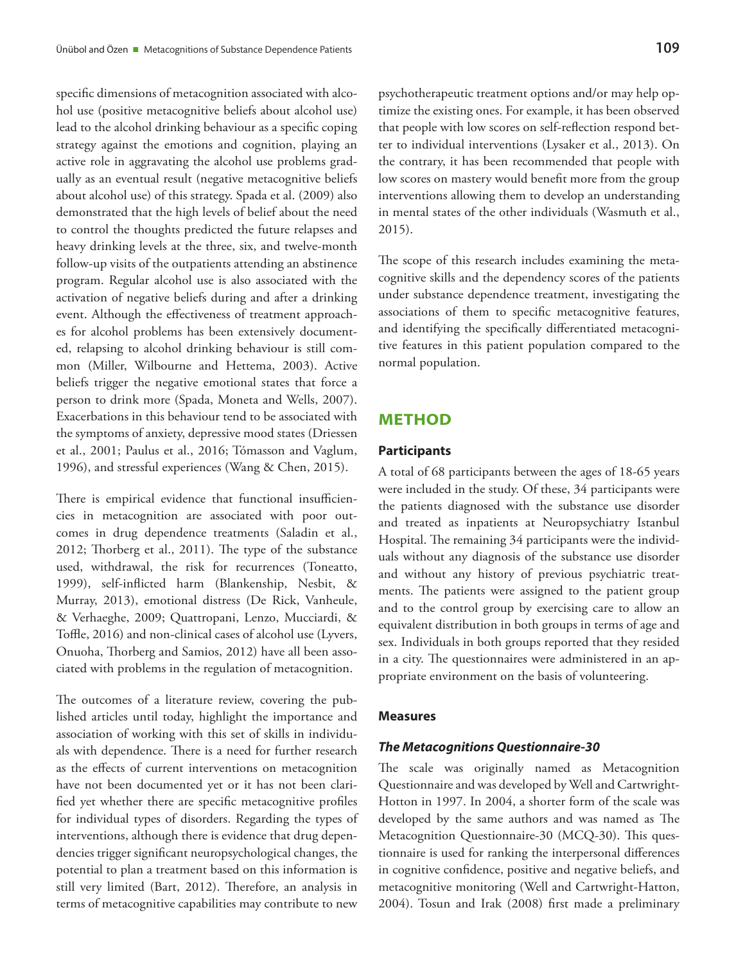specific dimensions of metacognition associated with alcohol use (positive metacognitive beliefs about alcohol use) lead to the alcohol drinking behaviour as a specific coping strategy against the emotions and cognition, playing an active role in aggravating the alcohol use problems gradually as an eventual result (negative metacognitive beliefs about alcohol use) of this strategy. Spada et al. (2009) also demonstrated that the high levels of belief about the need to control the thoughts predicted the future relapses and heavy drinking levels at the three, six, and twelve-month follow-up visits of the outpatients attending an abstinence program. Regular alcohol use is also associated with the activation of negative beliefs during and after a drinking event. Although the effectiveness of treatment approaches for alcohol problems has been extensively documented, relapsing to alcohol drinking behaviour is still common (Miller, Wilbourne and Hettema, 2003). Active beliefs trigger the negative emotional states that force a person to drink more (Spada, Moneta and Wells, 2007). Exacerbations in this behaviour tend to be associated with the symptoms of anxiety, depressive mood states (Driessen et al., 2001; Paulus et al., 2016; Tómasson and Vaglum, 1996), and stressful experiences (Wang & Chen, 2015).

There is empirical evidence that functional insufficiencies in metacognition are associated with poor outcomes in drug dependence treatments (Saladin et al., 2012; Thorberg et al., 2011). The type of the substance used, withdrawal, the risk for recurrences (Toneatto, 1999), self-inflicted harm (Blankenship, Nesbit, & Murray, 2013), emotional distress (De Rick, Vanheule, & Verhaeghe, 2009; Quattropani, Lenzo, Mucciardi, & Toffle, 2016) and non-clinical cases of alcohol use (Lyvers, Onuoha, Thorberg and Samios, 2012) have all been associated with problems in the regulation of metacognition.

The outcomes of a literature review, covering the published articles until today, highlight the importance and association of working with this set of skills in individuals with dependence. There is a need for further research as the effects of current interventions on metacognition have not been documented yet or it has not been clarified yet whether there are specific metacognitive profiles for individual types of disorders. Regarding the types of interventions, although there is evidence that drug dependencies trigger significant neuropsychological changes, the potential to plan a treatment based on this information is still very limited (Bart, 2012). Therefore, an analysis in terms of metacognitive capabilities may contribute to new psychotherapeutic treatment options and/or may help optimize the existing ones. For example, it has been observed that people with low scores on self-reflection respond better to individual interventions (Lysaker et al., 2013). On the contrary, it has been recommended that people with low scores on mastery would benefit more from the group interventions allowing them to develop an understanding in mental states of the other individuals (Wasmuth et al., 2015).

The scope of this research includes examining the metacognitive skills and the dependency scores of the patients under substance dependence treatment, investigating the associations of them to specific metacognitive features, and identifying the specifically differentiated metacognitive features in this patient population compared to the normal population.

## **METHOD**

#### **Participants**

A total of 68 participants between the ages of 18-65 years were included in the study. Of these, 34 participants were the patients diagnosed with the substance use disorder and treated as inpatients at Neuropsychiatry Istanbul Hospital. The remaining 34 participants were the individuals without any diagnosis of the substance use disorder and without any history of previous psychiatric treatments. The patients were assigned to the patient group and to the control group by exercising care to allow an equivalent distribution in both groups in terms of age and sex. Individuals in both groups reported that they resided in a city. The questionnaires were administered in an appropriate environment on the basis of volunteering.

#### **Measures**

#### *The Metacognitions Questionnaire-30*

The scale was originally named as Metacognition Questionnaire and was developed by Well and Cartwright-Hotton in 1997. In 2004, a shorter form of the scale was developed by the same authors and was named as The Metacognition Questionnaire-30 (MCQ-30). This questionnaire is used for ranking the interpersonal differences in cognitive confidence, positive and negative beliefs, and metacognitive monitoring (Well and Cartwright-Hatton, 2004). Tosun and Irak (2008) first made a preliminary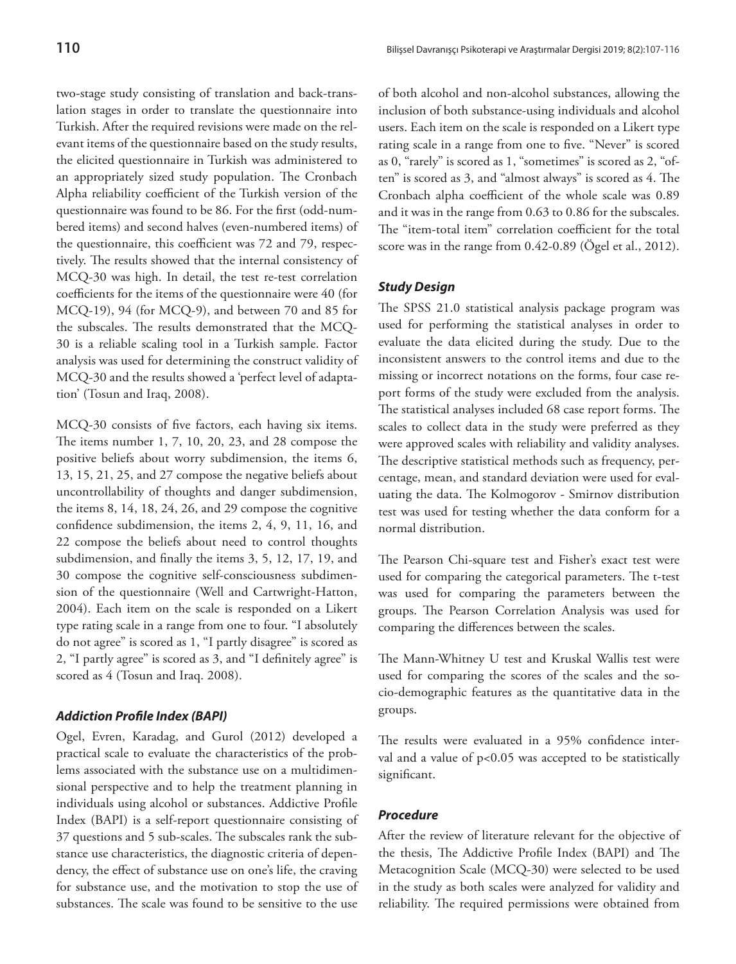two-stage study consisting of translation and back-translation stages in order to translate the questionnaire into Turkish. After the required revisions were made on the relevant items of the questionnaire based on the study results, the elicited questionnaire in Turkish was administered to an appropriately sized study population. The Cronbach Alpha reliability coefficient of the Turkish version of the questionnaire was found to be 86. For the first (odd-numbered items) and second halves (even-numbered items) of the questionnaire, this coefficient was 72 and 79, respectively. The results showed that the internal consistency of MCQ-30 was high. In detail, the test re-test correlation coefficients for the items of the questionnaire were 40 (for MCQ-19), 94 (for MCQ-9), and between 70 and 85 for the subscales. The results demonstrated that the MCQ-30 is a reliable scaling tool in a Turkish sample. Factor analysis was used for determining the construct validity of MCQ-30 and the results showed a 'perfect level of adaptation' (Tosun and Iraq, 2008).

MCQ-30 consists of five factors, each having six items. The items number 1, 7, 10, 20, 23, and 28 compose the positive beliefs about worry subdimension, the items 6, 13, 15, 21, 25, and 27 compose the negative beliefs about uncontrollability of thoughts and danger subdimension, the items 8, 14, 18, 24, 26, and 29 compose the cognitive confidence subdimension, the items 2, 4, 9, 11, 16, and 22 compose the beliefs about need to control thoughts subdimension, and finally the items 3, 5, 12, 17, 19, and 30 compose the cognitive self-consciousness subdimension of the questionnaire (Well and Cartwright-Hatton, 2004). Each item on the scale is responded on a Likert type rating scale in a range from one to four. "I absolutely do not agree" is scored as 1, "I partly disagree" is scored as 2, "I partly agree" is scored as 3, and "I definitely agree" is scored as 4 (Tosun and Iraq. 2008).

## *Addiction Profile Index (BAPI)*

Ogel, Evren, Karadag, and Gurol (2012) developed a practical scale to evaluate the characteristics of the problems associated with the substance use on a multidimensional perspective and to help the treatment planning in individuals using alcohol or substances. Addictive Profile Index (BAPI) is a self-report questionnaire consisting of 37 questions and 5 sub-scales. The subscales rank the substance use characteristics, the diagnostic criteria of dependency, the effect of substance use on one's life, the craving for substance use, and the motivation to stop the use of substances. The scale was found to be sensitive to the use

of both alcohol and non-alcohol substances, allowing the inclusion of both substance-using individuals and alcohol users. Each item on the scale is responded on a Likert type rating scale in a range from one to five. "Never" is scored as 0, "rarely" is scored as 1, "sometimes" is scored as 2, "often" is scored as 3, and "almost always" is scored as 4. The Cronbach alpha coefficient of the whole scale was 0.89 and it was in the range from 0.63 to 0.86 for the subscales. The "item-total item" correlation coefficient for the total score was in the range from 0.42-0.89 (Ögel et al., 2012).

#### *Study Design*

The SPSS 21.0 statistical analysis package program was used for performing the statistical analyses in order to evaluate the data elicited during the study. Due to the inconsistent answers to the control items and due to the missing or incorrect notations on the forms, four case report forms of the study were excluded from the analysis. The statistical analyses included 68 case report forms. The scales to collect data in the study were preferred as they were approved scales with reliability and validity analyses. The descriptive statistical methods such as frequency, percentage, mean, and standard deviation were used for evaluating the data. The Kolmogorov - Smirnov distribution test was used for testing whether the data conform for a normal distribution.

The Pearson Chi-square test and Fisher's exact test were used for comparing the categorical parameters. The t-test was used for comparing the parameters between the groups. The Pearson Correlation Analysis was used for comparing the differences between the scales.

The Mann-Whitney U test and Kruskal Wallis test were used for comparing the scores of the scales and the socio-demographic features as the quantitative data in the groups.

The results were evaluated in a 95% confidence interval and a value of p<0.05 was accepted to be statistically significant.

#### *Procedure*

After the review of literature relevant for the objective of the thesis, The Addictive Profile Index (BAPI) and The Metacognition Scale (MCQ-30) were selected to be used in the study as both scales were analyzed for validity and reliability. The required permissions were obtained from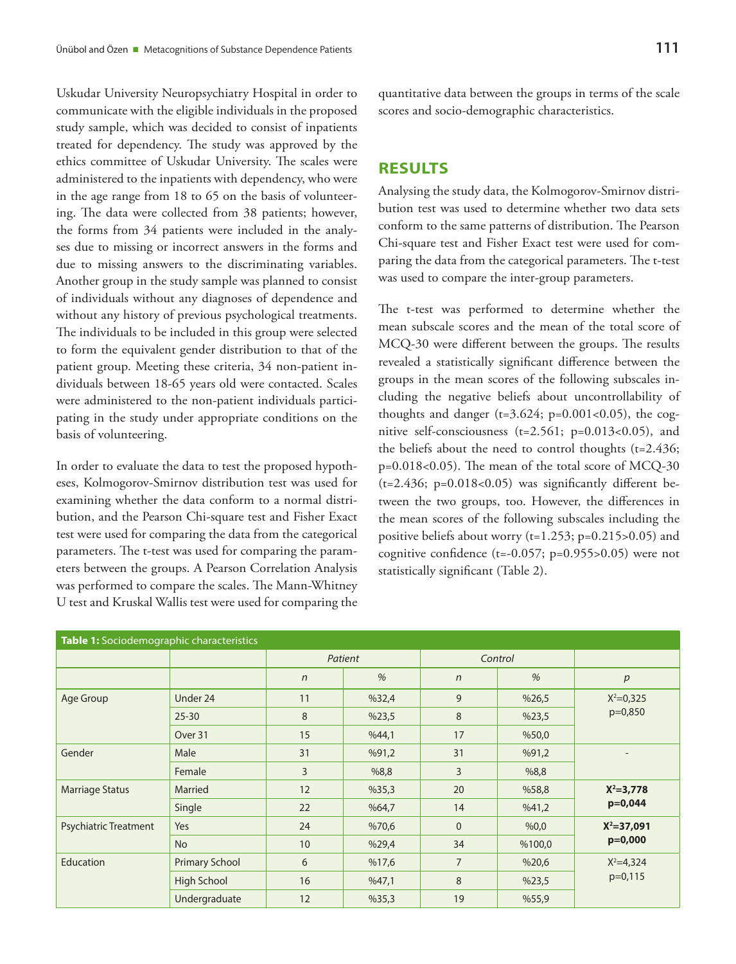Uskudar University Neuropsychiatry Hospital in order to communicate with the eligible individuals in the proposed study sample, which was decided to consist of inpatients treated for dependency. The study was approved by the ethics committee of Uskudar University. The scales were administered to the inpatients with dependency, who were in the age range from 18 to 65 on the basis of volunteering. The data were collected from 38 patients; however, the forms from 34 patients were included in the analyses due to missing or incorrect answers in the forms and due to missing answers to the discriminating variables. Another group in the study sample was planned to consist of individuals without any diagnoses of dependence and without any history of previous psychological treatments. The individuals to be included in this group were selected to form the equivalent gender distribution to that of the patient group. Meeting these criteria, 34 non-patient individuals between 18-65 years old were contacted. Scales were administered to the non-patient individuals participating in the study under appropriate conditions on the basis of volunteering.

In order to evaluate the data to test the proposed hypotheses, Kolmogorov-Smirnov distribution test was used for examining whether the data conform to a normal distribution, and the Pearson Chi-square test and Fisher Exact test were used for comparing the data from the categorical parameters. The t-test was used for comparing the parameters between the groups. A Pearson Correlation Analysis was performed to compare the scales. The Mann-Whitney U test and Kruskal Wallis test were used for comparing the

quantitative data between the groups in terms of the scale scores and socio-demographic characteristics.

# **RESULTS**

Analysing the study data, the Kolmogorov-Smirnov distribution test was used to determine whether two data sets conform to the same patterns of distribution. The Pearson Chi-square test and Fisher Exact test were used for comparing the data from the categorical parameters. The t-test was used to compare the inter-group parameters.

The t-test was performed to determine whether the mean subscale scores and the mean of the total score of MCQ-30 were different between the groups. The results revealed a statistically significant difference between the groups in the mean scores of the following subscales including the negative beliefs about uncontrollability of thoughts and danger ( $t=3.624$ ;  $p=0.001<0.05$ ), the cognitive self-consciousness (t=2.561; p=0.013<0.05), and the beliefs about the need to control thoughts (t=2.436; p=0.018<0.05). The mean of the total score of MCQ-30  $(t=2.436; p=0.018<0.05)$  was significantly different between the two groups, too. However, the differences in the mean scores of the following subscales including the positive beliefs about worry (t=1.253; p=0.215>0.05) and cognitive confidence (t=-0.057;  $p=0.955>0.05$ ) were not statistically significant (Table 2).

| Table 1: Sociodemographic characteristics |                    |            |       |                |        |                |  |  |  |
|-------------------------------------------|--------------------|------------|-------|----------------|--------|----------------|--|--|--|
|                                           |                    | Patient    |       | Control        |        |                |  |  |  |
|                                           |                    | $\sqrt{n}$ | %     | $\sqrt{n}$     | %      | p              |  |  |  |
| Age Group                                 | Under 24           | 11         | %32,4 | 9              | %26,5  | $X^2 = 0.325$  |  |  |  |
|                                           | $25 - 30$          | 8          | %23,5 | 8              | %23,5  | $p=0,850$      |  |  |  |
|                                           | Over 31            | 15         | %44,1 | 17             | %50,0  |                |  |  |  |
| Gender                                    | Male               | 31         | %91,2 | 31             | %91,2  |                |  |  |  |
|                                           | Female             | 3          | %8,8  | 3              | %8,8   |                |  |  |  |
| <b>Marriage Status</b>                    | Married            | 12         | %35,3 | 20             | %58,8  | $X^2 = 3,778$  |  |  |  |
|                                           | Single             | 22         | %64,7 | 14             | %41,2  | $p=0,044$      |  |  |  |
| <b>Psychiatric Treatment</b>              | Yes                | 24         | %70,6 | $\mathbf{0}$   | %0,0   | $X^2 = 37,091$ |  |  |  |
|                                           | <b>No</b>          | 10         | %29,4 | 34             | %100,0 | $p=0,000$      |  |  |  |
| Education                                 | Primary School     | 6          | %17,6 | $\overline{7}$ | %20,6  | $X^2 = 4,324$  |  |  |  |
|                                           | <b>High School</b> | 16         | %47,1 | 8              | %23,5  | $p=0,115$      |  |  |  |
|                                           | Undergraduate      | 12         | %35,3 | 19             | %55,9  |                |  |  |  |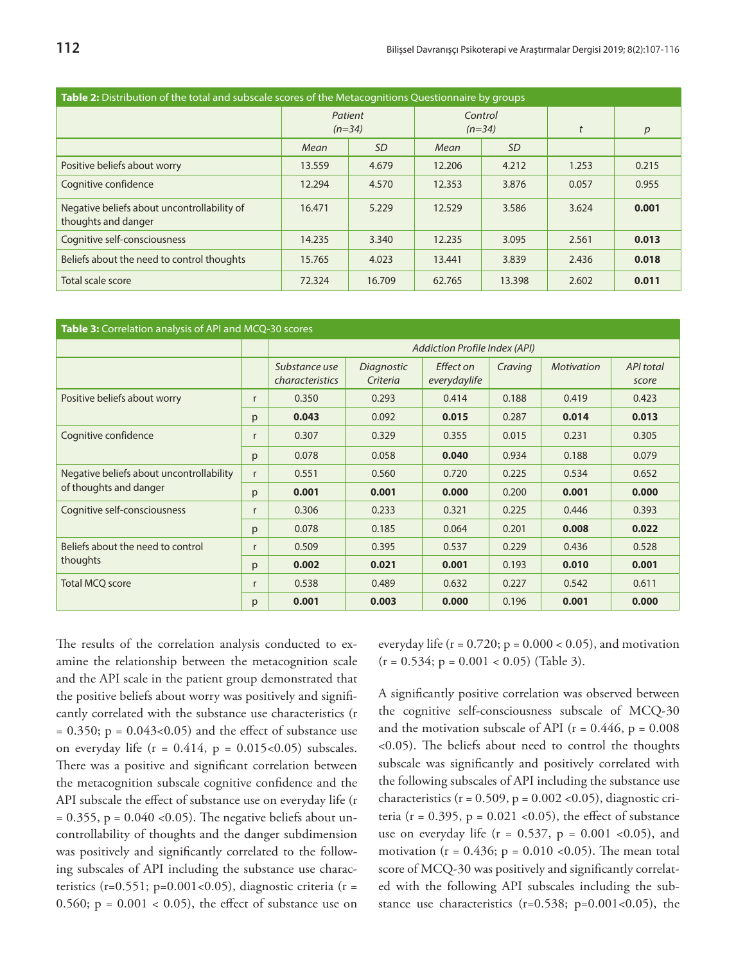| <b>Table 2:</b> Distribution of the total and subscale scores of the Metacognitions Questionnaire by groups |                     |           |                     |           |       |                  |  |  |  |
|-------------------------------------------------------------------------------------------------------------|---------------------|-----------|---------------------|-----------|-------|------------------|--|--|--|
|                                                                                                             | Patient<br>$(n=34)$ |           | Control<br>$(n=34)$ |           |       | $\boldsymbol{p}$ |  |  |  |
|                                                                                                             | Mean                | <i>SD</i> | Mean                | <i>SD</i> |       |                  |  |  |  |
| Positive beliefs about worry                                                                                | 13.559              | 4.679     | 12.206              | 4.212     | 1.253 | 0.215            |  |  |  |
| Cognitive confidence                                                                                        | 12.294              | 4.570     | 12.353              | 3.876     | 0.057 | 0.955            |  |  |  |
| Negative beliefs about uncontrollability of<br>thoughts and danger                                          | 16.471              | 5.229     | 12.529              | 3.586     | 3.624 | 0.001            |  |  |  |
| Cognitive self-consciousness                                                                                | 14.235              | 3.340     | 12.235              | 3.095     | 2.561 | 0.013            |  |  |  |
| Beliefs about the need to control thoughts                                                                  | 15.765              | 4.023     | 13.441              | 3.839     | 2.436 | 0.018            |  |  |  |
| Total scale score                                                                                           | 72.324              | 16.709    | 62.765              | 13.398    | 2.602 | 0.011            |  |  |  |

| Table 3: Correlation analysis of API and MCQ-30 scores |              |                                  |                        |                           |         |                   |                           |  |  |
|--------------------------------------------------------|--------------|----------------------------------|------------------------|---------------------------|---------|-------------------|---------------------------|--|--|
|                                                        |              | Addiction Profile Index (API)    |                        |                           |         |                   |                           |  |  |
|                                                        |              | Substance use<br>characteristics | Diagnostic<br>Criteria | Effect on<br>everydaylife | Craving | <b>Motivation</b> | <b>API</b> total<br>score |  |  |
| Positive beliefs about worry                           |              | 0.350                            | 0.293                  | 0.414                     | 0.188   | 0.419             | 0.423                     |  |  |
|                                                        |              | 0.043                            | 0.092                  | 0.015                     | 0.287   | 0.014             | 0.013                     |  |  |
| Cognitive confidence                                   |              | 0.307                            | 0.329                  | 0.355                     | 0.015   | 0.231             | 0.305                     |  |  |
|                                                        | p            | 0.078                            | 0.058                  | 0.040                     | 0.934   | 0.188             | 0.079                     |  |  |
| Negative beliefs about uncontrollability               |              | 0.551                            | 0.560                  | 0.720                     | 0.225   | 0.534             | 0.652                     |  |  |
| of thoughts and danger                                 | p            | 0.001                            | 0.001                  | 0.000                     | 0.200   | 0.001             | 0.000                     |  |  |
| Cognitive self-consciousness                           |              | 0.306                            | 0.233                  | 0.321                     | 0.225   | 0.446             | 0.393                     |  |  |
|                                                        |              | 0.078                            | 0.185                  | 0.064                     | 0.201   | 0.008             | 0.022                     |  |  |
| Beliefs about the need to control                      |              | 0.509                            | 0.395                  | 0.537                     | 0.229   | 0.436             | 0.528                     |  |  |
| thoughts                                               | $\mathsf{p}$ | 0.002                            | 0.021                  | 0.001                     | 0.193   | 0.010             | 0.001                     |  |  |
| <b>Total MCQ score</b>                                 |              | 0.538                            | 0.489                  | 0.632                     | 0.227   | 0.542             | 0.611                     |  |  |
|                                                        |              | 0.001                            | 0.003                  | 0.000                     | 0.196   | 0.001             | 0.000                     |  |  |

The results of the correlation analysis conducted to examine the relationship between the metacognition scale and the API scale in the patient group demonstrated that the positive beliefs about worry was positively and significantly correlated with the substance use characteristics (r  $= 0.350$ ; p =  $0.043<0.05$ ) and the effect of substance use on everyday life  $(r = 0.414, p = 0.015 < 0.05)$  subscales. There was a positive and significant correlation between the metacognition subscale cognitive confidence and the API subscale the effect of substance use on everyday life (r  $= 0.355$ , p  $= 0.040$  <0.05). The negative beliefs about uncontrollability of thoughts and the danger subdimension was positively and significantly correlated to the following subscales of API including the substance use characteristics (r=0.551; p=0.001<0.05), diagnostic criteria (r = 0.560;  $p = 0.001 < 0.05$ ), the effect of substance use on

everyday life ( $r = 0.720$ ;  $p = 0.000 < 0.05$ ), and motivation  $(r = 0.534; p = 0.001 < 0.05)$  (Table 3).

A significantly positive correlation was observed between the cognitive self-consciousness subscale of MCQ-30 and the motivation subscale of API ( $r = 0.446$ ,  $p = 0.008$ ) <0.05). The beliefs about need to control the thoughts subscale was significantly and positively correlated with the following subscales of API including the substance use characteristics ( $r = 0.509$ ,  $p = 0.002$  <0.05), diagnostic criteria ( $r = 0.395$ ,  $p = 0.021$  <0.05), the effect of substance use on everyday life ( $r = 0.537$ ,  $p = 0.001$  <0.05), and motivation ( $r = 0.436$ ;  $p = 0.010$  <0.05). The mean total score of MCQ-30 was positively and significantly correlated with the following API subscales including the substance use characteristics ( $r=0.538$ ;  $p=0.001<0.05$ ), the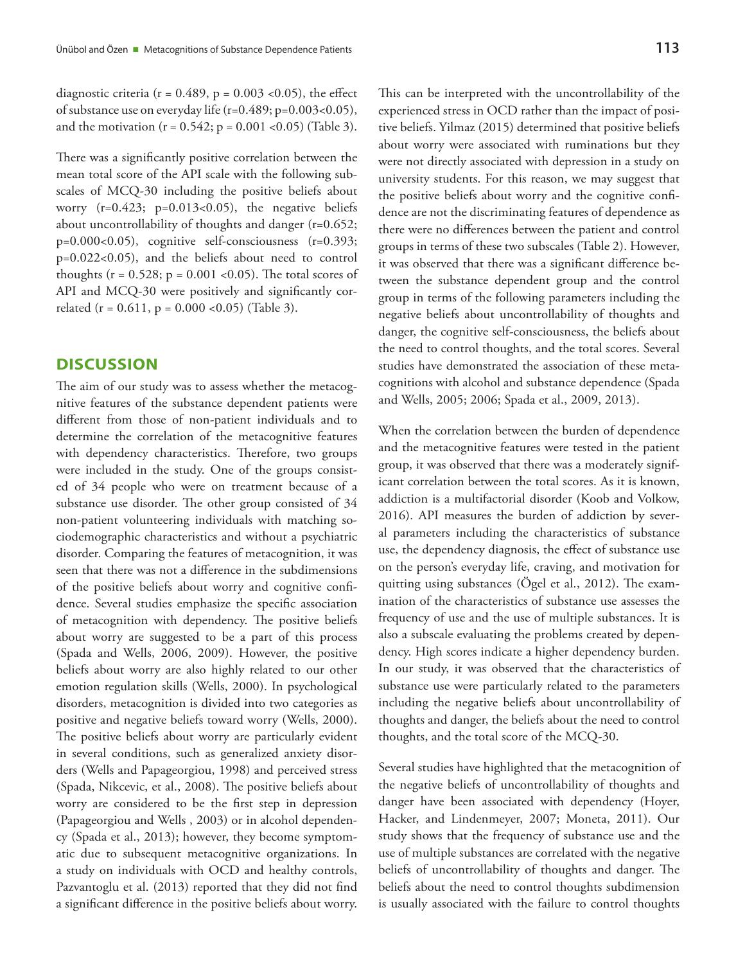diagnostic criteria ( $r = 0.489$ ,  $p = 0.003$  <0.05), the effect of substance use on everyday life (r=0.489; p=0.003<0.05), and the motivation  $(r = 0.542; p = 0.001$  <0.05) (Table 3).

There was a significantly positive correlation between the mean total score of the API scale with the following subscales of MCQ-30 including the positive beliefs about worry  $(r=0.423; p=0.013<0.05)$ , the negative beliefs about uncontrollability of thoughts and danger (r=0.652; p=0.000<0.05), cognitive self-consciousness (r=0.393; p=0.022<0.05), and the beliefs about need to control thoughts ( $r = 0.528$ ;  $p = 0.001$  <0.05). The total scores of API and MCQ-30 were positively and significantly correlated ( $r = 0.611$ ,  $p = 0.000$  < 0.05) (Table 3).

## **DISCUSSION**

The aim of our study was to assess whether the metacognitive features of the substance dependent patients were different from those of non-patient individuals and to determine the correlation of the metacognitive features with dependency characteristics. Therefore, two groups were included in the study. One of the groups consisted of 34 people who were on treatment because of a substance use disorder. The other group consisted of 34 non-patient volunteering individuals with matching sociodemographic characteristics and without a psychiatric disorder. Comparing the features of metacognition, it was seen that there was not a difference in the subdimensions of the positive beliefs about worry and cognitive confidence. Several studies emphasize the specific association of metacognition with dependency. The positive beliefs about worry are suggested to be a part of this process (Spada and Wells, 2006, 2009). However, the positive beliefs about worry are also highly related to our other emotion regulation skills (Wells, 2000). In psychological disorders, metacognition is divided into two categories as positive and negative beliefs toward worry (Wells, 2000). The positive beliefs about worry are particularly evident in several conditions, such as generalized anxiety disorders (Wells and Papageorgiou, 1998) and perceived stress (Spada, Nikcevic, et al., 2008). The positive beliefs about worry are considered to be the first step in depression (Papageorgiou and Wells , 2003) or in alcohol dependency (Spada et al., 2013); however, they become symptomatic due to subsequent metacognitive organizations. In a study on individuals with OCD and healthy controls, Pazvantoglu et al. (2013) reported that they did not find a significant difference in the positive beliefs about worry.

This can be interpreted with the uncontrollability of the experienced stress in OCD rather than the impact of positive beliefs. Yilmaz (2015) determined that positive beliefs about worry were associated with ruminations but they were not directly associated with depression in a study on university students. For this reason, we may suggest that the positive beliefs about worry and the cognitive confidence are not the discriminating features of dependence as there were no differences between the patient and control groups in terms of these two subscales (Table 2). However, it was observed that there was a significant difference between the substance dependent group and the control group in terms of the following parameters including the negative beliefs about uncontrollability of thoughts and danger, the cognitive self-consciousness, the beliefs about the need to control thoughts, and the total scores. Several studies have demonstrated the association of these metacognitions with alcohol and substance dependence (Spada and Wells, 2005; 2006; Spada et al., 2009, 2013).

When the correlation between the burden of dependence and the metacognitive features were tested in the patient group, it was observed that there was a moderately significant correlation between the total scores. As it is known, addiction is a multifactorial disorder (Koob and Volkow, 2016). API measures the burden of addiction by several parameters including the characteristics of substance use, the dependency diagnosis, the effect of substance use on the person's everyday life, craving, and motivation for quitting using substances (Ögel et al., 2012). The examination of the characteristics of substance use assesses the frequency of use and the use of multiple substances. It is also a subscale evaluating the problems created by dependency. High scores indicate a higher dependency burden. In our study, it was observed that the characteristics of substance use were particularly related to the parameters including the negative beliefs about uncontrollability of thoughts and danger, the beliefs about the need to control thoughts, and the total score of the MCQ-30.

Several studies have highlighted that the metacognition of the negative beliefs of uncontrollability of thoughts and danger have been associated with dependency (Hoyer, Hacker, and Lindenmeyer, 2007; Moneta, 2011). Our study shows that the frequency of substance use and the use of multiple substances are correlated with the negative beliefs of uncontrollability of thoughts and danger. The beliefs about the need to control thoughts subdimension is usually associated with the failure to control thoughts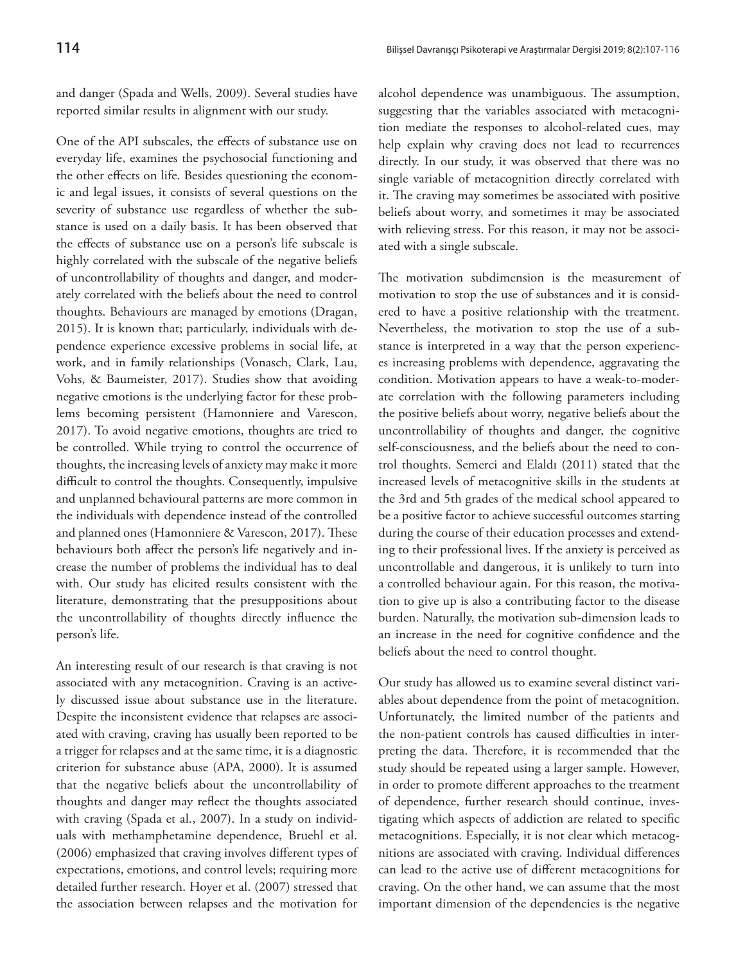and danger (Spada and Wells, 2009). Several studies have reported similar results in alignment with our study.

One of the API subscales, the effects of substance use on everyday life, examines the psychosocial functioning and the other effects on life. Besides questioning the economic and legal issues, it consists of several questions on the severity of substance use regardless of whether the substance is used on a daily basis. It has been observed that the effects of substance use on a person's life subscale is highly correlated with the subscale of the negative beliefs of uncontrollability of thoughts and danger, and moderately correlated with the beliefs about the need to control thoughts. Behaviours are managed by emotions (Dragan, 2015). It is known that; particularly, individuals with dependence experience excessive problems in social life, at work, and in family relationships (Vonasch, Clark, Lau, Vohs, & Baumeister, 2017). Studies show that avoiding negative emotions is the underlying factor for these problems becoming persistent (Hamonniere and Varescon, 2017). To avoid negative emotions, thoughts are tried to be controlled. While trying to control the occurrence of thoughts, the increasing levels of anxiety may make it more difficult to control the thoughts. Consequently, impulsive and unplanned behavioural patterns are more common in the individuals with dependence instead of the controlled and planned ones (Hamonniere & Varescon, 2017). These behaviours both affect the person's life negatively and increase the number of problems the individual has to deal with. Our study has elicited results consistent with the literature, demonstrating that the presuppositions about the uncontrollability of thoughts directly influence the person's life.

An interesting result of our research is that craving is not associated with any metacognition. Craving is an actively discussed issue about substance use in the literature. Despite the inconsistent evidence that relapses are associated with craving, craving has usually been reported to be a trigger for relapses and at the same time, it is a diagnostic criterion for substance abuse (APA, 2000). It is assumed that the negative beliefs about the uncontrollability of thoughts and danger may reflect the thoughts associated with craving (Spada et al., 2007). In a study on individuals with methamphetamine dependence, Bruehl et al. (2006) emphasized that craving involves different types of expectations, emotions, and control levels; requiring more detailed further research. Hoyer et al. (2007) stressed that the association between relapses and the motivation for

alcohol dependence was unambiguous. The assumption, suggesting that the variables associated with metacognition mediate the responses to alcohol-related cues, may help explain why craving does not lead to recurrences directly. In our study, it was observed that there was no single variable of metacognition directly correlated with it. The craving may sometimes be associated with positive beliefs about worry, and sometimes it may be associated with relieving stress. For this reason, it may not be associated with a single subscale.

The motivation subdimension is the measurement of motivation to stop the use of substances and it is considered to have a positive relationship with the treatment. Nevertheless, the motivation to stop the use of a substance is interpreted in a way that the person experiences increasing problems with dependence, aggravating the condition. Motivation appears to have a weak-to-moderate correlation with the following parameters including the positive beliefs about worry, negative beliefs about the uncontrollability of thoughts and danger, the cognitive self-consciousness, and the beliefs about the need to control thoughts. Semerci and Elaldı (2011) stated that the increased levels of metacognitive skills in the students at the 3rd and 5th grades of the medical school appeared to be a positive factor to achieve successful outcomes starting during the course of their education processes and extending to their professional lives. If the anxiety is perceived as uncontrollable and dangerous, it is unlikely to turn into a controlled behaviour again. For this reason, the motivation to give up is also a contributing factor to the disease burden. Naturally, the motivation sub-dimension leads to an increase in the need for cognitive confidence and the beliefs about the need to control thought.

Our study has allowed us to examine several distinct variables about dependence from the point of metacognition. Unfortunately, the limited number of the patients and the non-patient controls has caused difficulties in interpreting the data. Therefore, it is recommended that the study should be repeated using a larger sample. However, in order to promote different approaches to the treatment of dependence, further research should continue, investigating which aspects of addiction are related to specific metacognitions. Especially, it is not clear which metacognitions are associated with craving. Individual differences can lead to the active use of different metacognitions for craving. On the other hand, we can assume that the most important dimension of the dependencies is the negative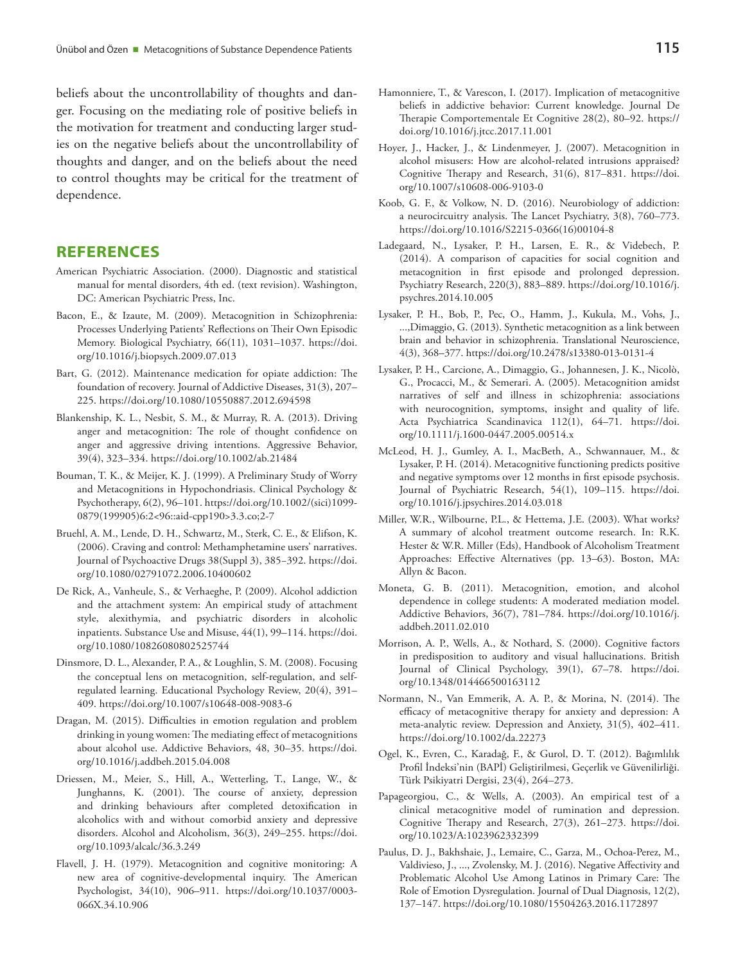beliefs about the uncontrollability of thoughts and danger. Focusing on the mediating role of positive beliefs in the motivation for treatment and conducting larger studies on the negative beliefs about the uncontrollability of thoughts and danger, and on the beliefs about the need to control thoughts may be critical for the treatment of dependence.

#### **REFERENCES**

- American Psychiatric Association. (2000). Diagnostic and statistical manual for mental disorders, 4th ed. (text revision). Washington, DC: American Psychiatric Press, Inc.
- Bacon, E., & Izaute, M. (2009). Metacognition in Schizophrenia: Processes Underlying Patients' Reflections on Their Own Episodic Memory. Biological Psychiatry, 66(11), 1031–1037. https://doi. org/10.1016/j.biopsych.2009.07.013
- Bart, G. (2012). Maintenance medication for opiate addiction: The foundation of recovery. Journal of Addictive Diseases, 31(3), 207– 225. https://doi.org/10.1080/10550887.2012.694598
- Blankenship, K. L., Nesbit, S. M., & Murray, R. A. (2013). Driving anger and metacognition: The role of thought confidence on anger and aggressive driving intentions. Aggressive Behavior, 39(4), 323–334. https://doi.org/10.1002/ab.21484
- Bouman, T. K., & Meijer, K. J. (1999). A Preliminary Study of Worry and Metacognitions in Hypochondriasis. Clinical Psychology & Psychotherapy, 6(2), 96–101. https://doi.org/10.1002/(sici)1099- 0879(199905)6:2<96::aid-cpp190>3.3.co;2-7
- Bruehl, A. M., Lende, D. H., Schwartz, M., Sterk, C. E., & Elifson, K. (2006). Craving and control: Methamphetamine users' narratives. Journal of Psychoactive Drugs 38(Suppl 3), 385−392. https://doi. org/10.1080/02791072.2006.10400602
- De Rick, A., Vanheule, S., & Verhaeghe, P. (2009). Alcohol addiction and the attachment system: An empirical study of attachment style, alexithymia, and psychiatric disorders in alcoholic inpatients. Substance Use and Misuse, 44(1), 99–114. https://doi. org/10.1080/10826080802525744
- Dinsmore, D. L., Alexander, P. A., & Loughlin, S. M. (2008). Focusing the conceptual lens on metacognition, self-regulation, and selfregulated learning. Educational Psychology Review, 20(4), 391– 409. https://doi.org/10.1007/s10648-008-9083-6
- Dragan, M. (2015). Difficulties in emotion regulation and problem drinking in young women: The mediating effect of metacognitions about alcohol use. Addictive Behaviors, 48, 30–35. https://doi. org/10.1016/j.addbeh.2015.04.008
- Driessen, M., Meier, S., Hill, A., Wetterling, T., Lange, W., & Junghanns, K. (2001). The course of anxiety, depression and drinking behaviours after completed detoxification in alcoholics with and without comorbid anxiety and depressive disorders. Alcohol and Alcoholism, 36(3), 249–255. https://doi. org/10.1093/alcalc/36.3.249
- Flavell, J. H. (1979). Metacognition and cognitive monitoring: A new area of cognitive-developmental inquiry. The American Psychologist, 34(10), 906–911. https://doi.org/10.1037/0003- 066X.34.10.906
- Hamonniere, T., & Varescon, I. (2017). Implication of metacognitive beliefs in addictive behavior: Current knowledge. Journal De Therapie Comportementale Et Cognitive 28(2), 80–92. https:// doi.org/10.1016/j.jtcc.2017.11.001
- Hoyer, J., Hacker, J., & Lindenmeyer, J. (2007). Metacognition in alcohol misusers: How are alcohol-related intrusions appraised? Cognitive Therapy and Research, 31(6), 817–831. https://doi. org/10.1007/s10608-006-9103-0
- Koob, G. F., & Volkow, N. D. (2016). Neurobiology of addiction: a neurocircuitry analysis. The Lancet Psychiatry, 3(8), 760–773. https://doi.org/10.1016/S2215-0366(16)00104-8
- Ladegaard, N., Lysaker, P. H., Larsen, E. R., & Videbech, P. (2014). A comparison of capacities for social cognition and metacognition in first episode and prolonged depression. Psychiatry Research, 220(3), 883–889. https://doi.org/10.1016/j. psychres.2014.10.005
- Lysaker, P. H., Bob, P., Pec, O., Hamm, J., Kukula, M., Vohs, J., ...,Dimaggio, G. (2013). Synthetic metacognition as a link between brain and behavior in schizophrenia. Translational Neuroscience, 4(3), 368–377. https://doi.org/10.2478/s13380-013-0131-4
- Lysaker, P. H., Carcione, A., Dimaggio, G., Johannesen, J. K., Nicolò, G., Procacci, M., & Semerari. A. (2005). Metacognition amidst narratives of self and illness in schizophrenia: associations with neurocognition, symptoms, insight and quality of life. Acta Psychiatrica Scandinavica 112(1), 64–71. https://doi. org/10.1111/j.1600-0447.2005.00514.x
- McLeod, H. J., Gumley, A. I., MacBeth, A., Schwannauer, M., & Lysaker, P. H. (2014). Metacognitive functioning predicts positive and negative symptoms over 12 months in first episode psychosis. Journal of Psychiatric Research, 54(1), 109–115. https://doi. org/10.1016/j.jpsychires.2014.03.018
- Miller, W.R., Wilbourne, P.L., & Hettema, J.E. (2003). What works? A summary of alcohol treatment outcome research. In: R.K. Hester & W.R. Miller (Eds), Handbook of Alcoholism Treatment Approaches: Effective Alternatives (pp. 13–63). Boston, MA: Allyn & Bacon.
- Moneta, G. B. (2011). Metacognition, emotion, and alcohol dependence in college students: A moderated mediation model. Addictive Behaviors, 36(7), 781–784. https://doi.org/10.1016/j. addbeh.2011.02.010
- Morrison, A. P., Wells, A., & Nothard, S. (2000). Cognitive factors in predisposition to auditory and visual hallucinations. British Journal of Clinical Psychology, 39(1), 67–78. https://doi. org/10.1348/014466500163112
- Normann, N., Van Emmerik, A. A. P., & Morina, N. (2014). The efficacy of metacognitive therapy for anxiety and depression: A meta-analytic review. Depression and Anxiety, 31(5), 402–411. https://doi.org/10.1002/da.22273
- Ogel, K., Evren, C., Karadağ, F., & Gurol, D. T. (2012). Bağımlılık Profil İndeksi'nin (BAPİ) Geliştirilmesi, Geçerlik ve Güvenilirliği. Türk Psikiyatri Dergisi, 23(4), 264–273.
- Papageorgiou, C., & Wells, A. (2003). An empirical test of a clinical metacognitive model of rumination and depression. Cognitive Therapy and Research, 27(3), 261–273. https://doi. org/10.1023/A:1023962332399
- Paulus, D. J., Bakhshaie, J., Lemaire, C., Garza, M., Ochoa-Perez, M., Valdivieso, J., ..., Zvolensky, M. J. (2016). Negative Affectivity and Problematic Alcohol Use Among Latinos in Primary Care: The Role of Emotion Dysregulation. Journal of Dual Diagnosis, 12(2), 137–147. https://doi.org/10.1080/15504263.2016.1172897